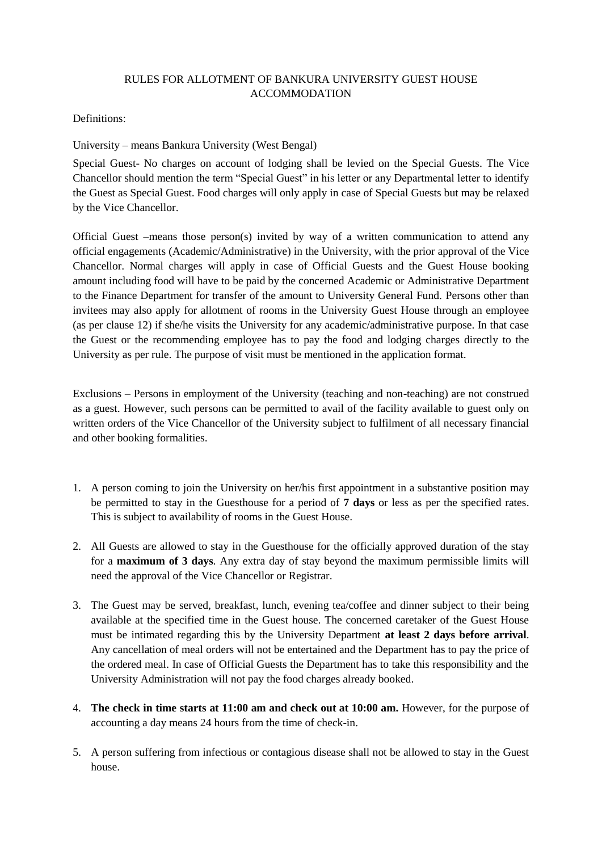## RULES FOR ALLOTMENT OF BANKURA UNIVERSITY GUEST HOUSE ACCOMMODATION

## Definitions:

University – means Bankura University (West Bengal)

Special Guest- No charges on account of lodging shall be levied on the Special Guests. The Vice Chancellor should mention the term "Special Guest" in his letter or any Departmental letter to identify the Guest as Special Guest. Food charges will only apply in case of Special Guests but may be relaxed by the Vice Chancellor.

Official Guest –means those person(s) invited by way of a written communication to attend any official engagements (Academic/Administrative) in the University, with the prior approval of the Vice Chancellor. Normal charges will apply in case of Official Guests and the Guest House booking amount including food will have to be paid by the concerned Academic or Administrative Department to the Finance Department for transfer of the amount to University General Fund. Persons other than invitees may also apply for allotment of rooms in the University Guest House through an employee (as per clause 12) if she/he visits the University for any academic/administrative purpose. In that case the Guest or the recommending employee has to pay the food and lodging charges directly to the University as per rule. The purpose of visit must be mentioned in the application format.

Exclusions – Persons in employment of the University (teaching and non-teaching) are not construed as a guest. However, such persons can be permitted to avail of the facility available to guest only on written orders of the Vice Chancellor of the University subject to fulfilment of all necessary financial and other booking formalities.

- 1. A person coming to join the University on her/his first appointment in a substantive position may be permitted to stay in the Guesthouse for a period of **7 days** or less as per the specified rates. This is subject to availability of rooms in the Guest House.
- 2. All Guests are allowed to stay in the Guesthouse for the officially approved duration of the stay for a **maximum of 3 days**. Any extra day of stay beyond the maximum permissible limits will need the approval of the Vice Chancellor or Registrar.
- 3. The Guest may be served, breakfast, lunch, evening tea/coffee and dinner subject to their being available at the specified time in the Guest house. The concerned caretaker of the Guest House must be intimated regarding this by the University Department **at least 2 days before arrival**. Any cancellation of meal orders will not be entertained and the Department has to pay the price of the ordered meal. In case of Official Guests the Department has to take this responsibility and the University Administration will not pay the food charges already booked.
- 4. **The check in time starts at 11:00 am and check out at 10:00 am.** However, for the purpose of accounting a day means 24 hours from the time of check-in.
- 5. A person suffering from infectious or contagious disease shall not be allowed to stay in the Guest house.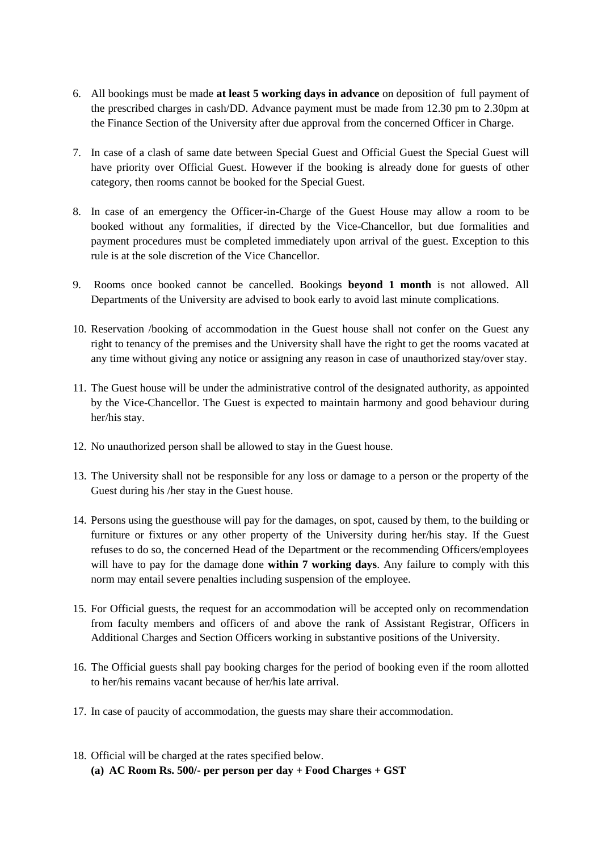- 6. All bookings must be made **at least 5 working days in advance** on deposition of full payment of the prescribed charges in cash/DD. Advance payment must be made from 12.30 pm to 2.30pm at the Finance Section of the University after due approval from the concerned Officer in Charge.
- 7. In case of a clash of same date between Special Guest and Official Guest the Special Guest will have priority over Official Guest. However if the booking is already done for guests of other category, then rooms cannot be booked for the Special Guest.
- 8. In case of an emergency the Officer-in-Charge of the Guest House may allow a room to be booked without any formalities, if directed by the Vice-Chancellor, but due formalities and payment procedures must be completed immediately upon arrival of the guest. Exception to this rule is at the sole discretion of the Vice Chancellor.
- 9. Rooms once booked cannot be cancelled. Bookings **beyond 1 month** is not allowed. All Departments of the University are advised to book early to avoid last minute complications.
- 10. Reservation /booking of accommodation in the Guest house shall not confer on the Guest any right to tenancy of the premises and the University shall have the right to get the rooms vacated at any time without giving any notice or assigning any reason in case of unauthorized stay/over stay.
- 11. The Guest house will be under the administrative control of the designated authority, as appointed by the Vice-Chancellor. The Guest is expected to maintain harmony and good behaviour during her/his stay.
- 12. No unauthorized person shall be allowed to stay in the Guest house.
- 13. The University shall not be responsible for any loss or damage to a person or the property of the Guest during his /her stay in the Guest house.
- 14. Persons using the guesthouse will pay for the damages, on spot, caused by them, to the building or furniture or fixtures or any other property of the University during her/his stay. If the Guest refuses to do so, the concerned Head of the Department or the recommending Officers/employees will have to pay for the damage done **within 7 working days**. Any failure to comply with this norm may entail severe penalties including suspension of the employee.
- 15. For Official guests, the request for an accommodation will be accepted only on recommendation from faculty members and officers of and above the rank of Assistant Registrar, Officers in Additional Charges and Section Officers working in substantive positions of the University.
- 16. The Official guests shall pay booking charges for the period of booking even if the room allotted to her/his remains vacant because of her/his late arrival.
- 17. In case of paucity of accommodation, the guests may share their accommodation.
- 18. Official will be charged at the rates specified below. **(a) AC Room Rs. 500/- per person per day + Food Charges + GST**